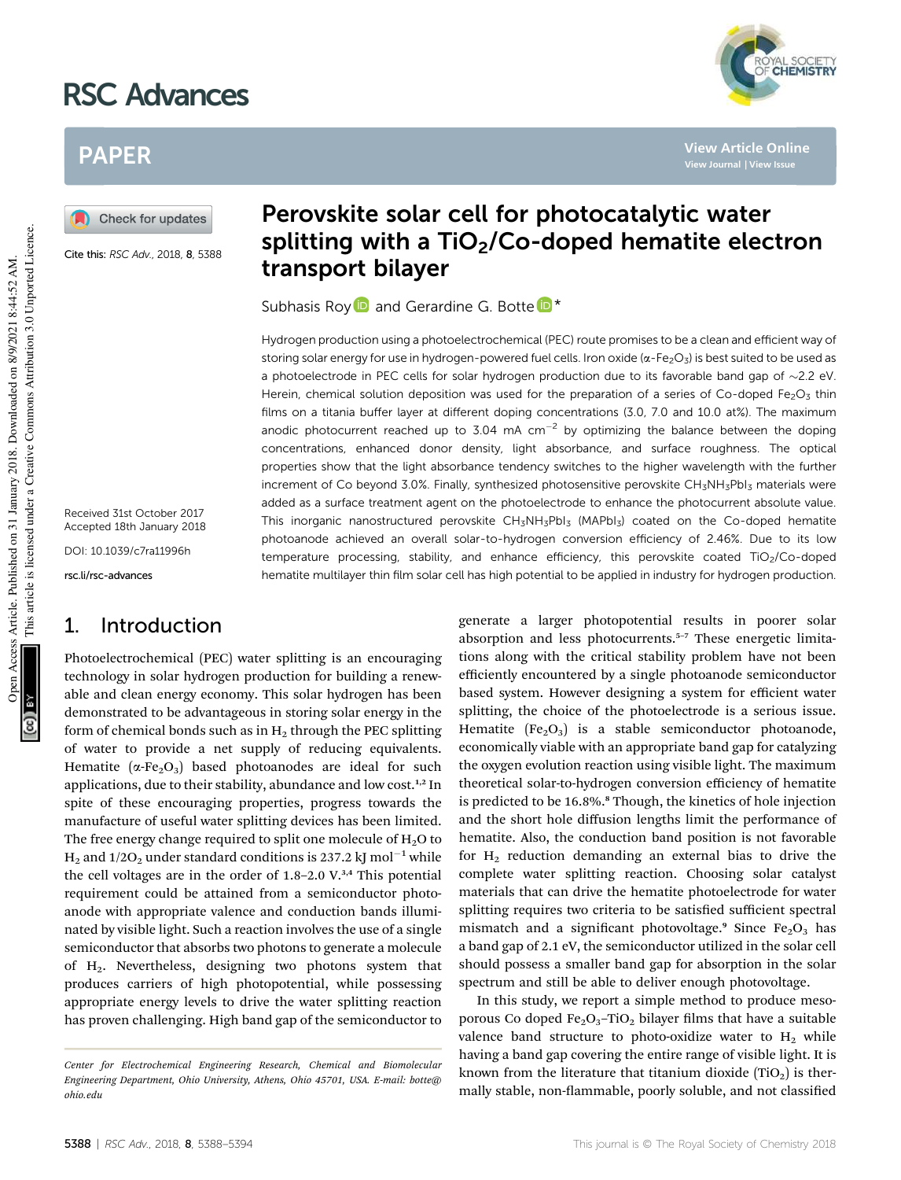# RSC Advances



**View Article Online View Journal | View Issue**

# PAPER

Check for updates

Cite this: RSC Adv., 2018, 8, 5388

Received 31st October 2017 Accepted 18th January 2018

DOI: 10.1039/c7ra11996h

rsc.li/rsc-advances

# 1. Introduction

Photoelectrochemical (PEC) water splitting is an encouraging technology in solar hydrogen production for building a renewable and clean energy economy. This solar hydrogen has been demonstrated to be advantageous in storing solar energy in the form of chemical bonds such as in  $H_2$  through the PEC splitting of water to provide a net supply of reducing equivalents. Hematite ( $\alpha$ -Fe<sub>2</sub>O<sub>3</sub>) based photoanodes are ideal for such applications, due to their stability, abundance and low cost.<sup>1,2</sup> In spite of these encouraging properties, progress towards the manufacture of useful water splitting devices has been limited. The free energy change required to split one molecule of  $H_2O$  to  $H_2$  and 1/2O<sub>2</sub> under standard conditions is 237.2 kJ mol<sup>-1</sup> while the cell voltages are in the order of 1.8-2.0 V.<sup>3,4</sup> This potential requirement could be attained from a semiconductor photoanode with appropriate valence and conduction bands illuminated by visible light. Such a reaction involves the use of a single semiconductor that absorbs two photons to generate a molecule of H2. Nevertheless, designing two photons system that produces carriers of high photopotential, while possessing appropriate energy levels to drive the water splitting reaction has proven challenging. High band gap of the semiconductor to

# Perovskite solar cell for photocatalytic water splitting with a  $TiO<sub>2</sub>/Co-doped$  hematite electron transport bilayer

Subhasis Roy<sup>D</sup> and Gerardine G. Botte<sup>D</sub>\*</sup>

Hydrogen production using a photoelectrochemical (PEC) route promises to be a clean and efficient way of storing solar energy for use in hydrogen-powered fuel cells. Iron oxide ( $\alpha$ -Fe<sub>2</sub>O<sub>3</sub>) is best suited to be used as a photoelectrode in PEC cells for solar hydrogen production due to its favorable band gap of  $\sim$ 2.2 eV. Herein, chemical solution deposition was used for the preparation of a series of Co-doped Fe<sub>2</sub>O<sub>3</sub> thin films on a titania buffer layer at different doping concentrations (3.0, 7.0 and 10.0 at%). The maximum anodic photocurrent reached up to 3.04 mA  $cm^{-2}$  by optimizing the balance between the doping concentrations, enhanced donor density, light absorbance, and surface roughness. The optical properties show that the light absorbance tendency switches to the higher wavelength with the further increment of Co beyond 3.0%. Finally, synthesized photosensitive perovskite CH<sub>3</sub>NH<sub>3</sub>PbI<sub>3</sub> materials were added as a surface treatment agent on the photoelectrode to enhance the photocurrent absolute value. This inorganic nanostructured perovskite CH<sub>3</sub>NH<sub>3</sub>PbI<sub>3</sub> (MAPbI<sub>3</sub>) coated on the Co-doped hematite photoanode achieved an overall solar-to-hydrogen conversion efficiency of 2.46%. Due to its low temperature processing, stability, and enhance efficiency, this perovskite coated TiO<sub>2</sub>/Co-doped hematite multilayer thin film solar cell has high potential to be applied in industry for hydrogen production.

> generate a larger photopotential results in poorer solar absorption and less photocurrents.<sup>5-7</sup> These energetic limitations along with the critical stability problem have not been efficiently encountered by a single photoanode semiconductor based system. However designing a system for efficient water splitting, the choice of the photoelectrode is a serious issue. Hematite  $(Fe<sub>2</sub>O<sub>3</sub>)$  is a stable semiconductor photoanode, economically viable with an appropriate band gap for catalyzing the oxygen evolution reaction using visible light. The maximum theoretical solar-to-hydrogen conversion efficiency of hematite is predicted to be 16.8%.<sup>8</sup> Though, the kinetics of hole injection and the short hole diffusion lengths limit the performance of hematite. Also, the conduction band position is not favorable for  $H_2$  reduction demanding an external bias to drive the complete water splitting reaction. Choosing solar catalyst materials that can drive the hematite photoelectrode for water splitting requires two criteria to be satisfied sufficient spectral mismatch and a significant photovoltage.<sup>9</sup> Since  $Fe<sub>2</sub>O<sub>3</sub>$  has a band gap of 2.1 eV, the semiconductor utilized in the solar cell should possess a smaller band gap for absorption in the solar spectrum and still be able to deliver enough photovoltage.

> In this study, we report a simple method to produce mesoporous Co doped  $Fe<sub>2</sub>O<sub>3</sub>$ -TiO<sub>2</sub> bilayer films that have a suitable valence band structure to photo-oxidize water to  $H_2$  while having a band gap covering the entire range of visible light. It is known from the literature that titanium dioxide  $(TiO<sub>2</sub>)$  is thermally stable, non-flammable, poorly soluble, and not classified

This article is licensed under a Creative Commons Attribution 3.0 Unported Licence.

This article is licensed under a Creative Commons Attribution 3.0 Unported Licence.

*Center for Electrochemical Engineering Research, Chemical and Biomolecular Engineering Department, Ohio University, Athens, Ohio 45701, USA. E-mail: botte@ ohio.edu*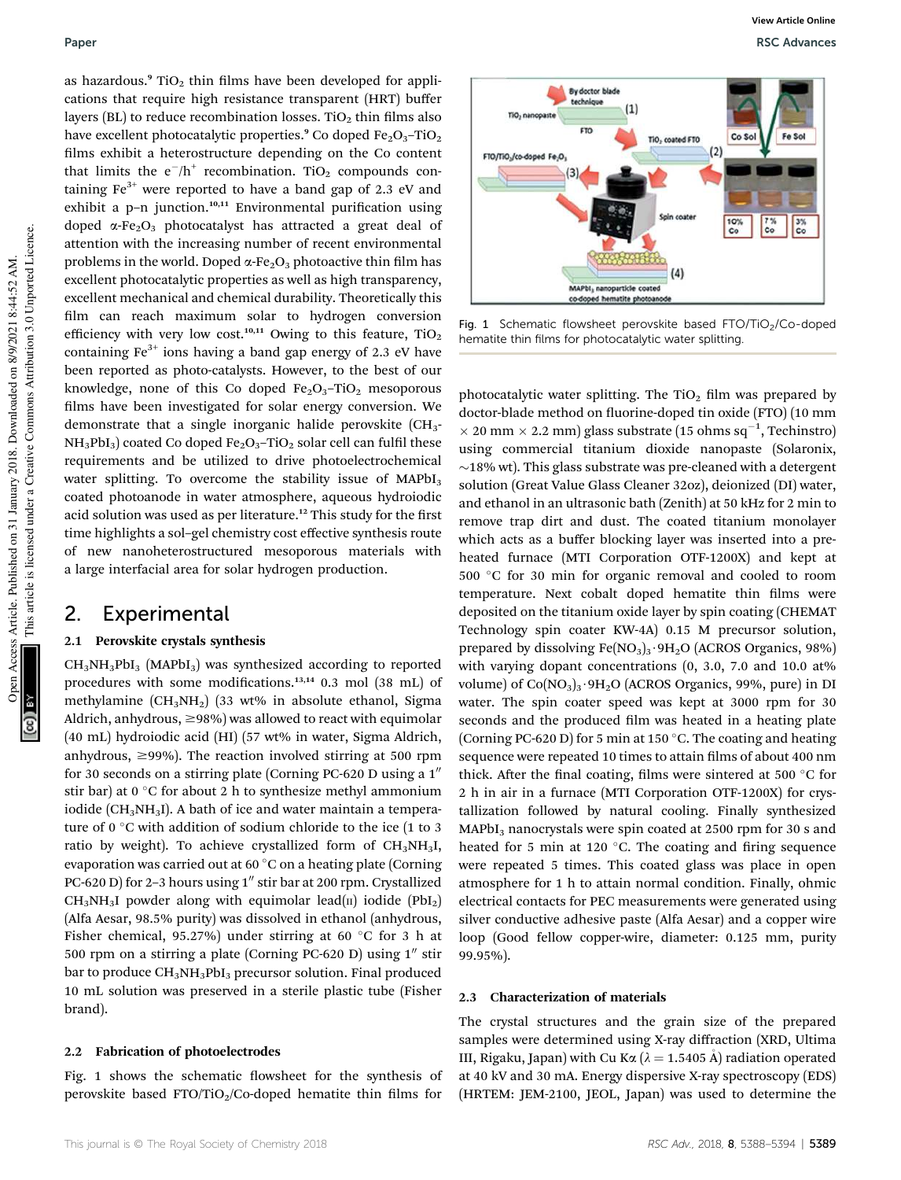as hazardous.<sup>9</sup> TiO<sub>2</sub> thin films have been developed for applications that require high resistance transparent (HRT) buffer layers (BL) to reduce recombination losses. TiO<sub>2</sub> thin films also have excellent photocatalytic properties.<sup>9</sup> Co doped  $Fe<sub>2</sub>O<sub>3</sub>$ -TiO<sub>2</sub> films exhibit a heterostructure depending on the Co content that limits the  $e^{-}/h^{+}$  recombination. TiO<sub>2</sub> compounds containing  $Fe^{3+}$  were reported to have a band gap of 2.3 eV and exhibit a p-n junction.<sup>10,11</sup> Environmental purification using doped  $\alpha$ -Fe<sub>2</sub>O<sub>3</sub> photocatalyst has attracted a great deal of attention with the increasing number of recent environmental problems in the world. Doped  $\alpha$ -Fe<sub>2</sub>O<sub>3</sub> photoactive thin film has excellent photocatalytic properties as well as high transparency, excellent mechanical and chemical durability. Theoretically this film can reach maximum solar to hydrogen conversion efficiency with very low cost.<sup>10,11</sup> Owing to this feature,  $TiO<sub>2</sub>$ containing  $Fe<sup>3+</sup>$  ions having a band gap energy of 2.3 eV have been reported as photo-catalysts. However, to the best of our knowledge, none of this Co doped  $Fe<sub>2</sub>O<sub>3</sub>$ -TiO<sub>2</sub> mesoporous films have been investigated for solar energy conversion. We demonstrate that a single inorganic halide perovskite (CH3-  $NH<sub>3</sub>PbI<sub>3</sub>$ ) coated Co doped Fe<sub>2</sub>O<sub>3</sub>–TiO<sub>2</sub> solar cell can fulfil these requirements and be utilized to drive photoelectrochemical water splitting. To overcome the stability issue of  $MAPbI<sub>3</sub>$ coated photoanode in water atmosphere, aqueous hydroiodic acid solution was used as per literature.<sup>12</sup> This study for the first time highlights a sol–gel chemistry cost effective synthesis route of new nanoheterostructured mesoporous materials with a large interfacial area for solar hydrogen production.

### 2. Experimental

### 2.1 Perovskite crystals synthesis

 $CH<sub>3</sub>NH<sub>3</sub>PbI<sub>3</sub>$  (MAPbI<sub>3</sub>) was synthesized according to reported procedures with some modifications. $13,14$  0.3 mol (38 mL) of methylamine  $(CH_3NH_2)$  (33 wt% in absolute ethanol, Sigma Aldrich, anhydrous,  $\geq$ 98%) was allowed to react with equimolar (40 mL) hydroiodic acid (HI) (57 wt% in water, Sigma Aldrich, anhydrous,  $\geq$ 99%). The reaction involved stirring at 500 rpm for 30 seconds on a stirring plate (Corning PC-620 D using a  $1<sup>''</sup>$ stir bar) at 0  $\degree$ C for about 2 h to synthesize methyl ammonium iodide ( $CH<sub>3</sub>NH<sub>3</sub>I$ ). A bath of ice and water maintain a temperature of 0  $\degree$ C with addition of sodium chloride to the ice (1 to 3 ratio by weight). To achieve crystallized form of  $CH<sub>3</sub>NH<sub>3</sub>I$ , evaporation was carried out at 60 $\degree$ C on a heating plate (Corning PC-620 D) for 2-3 hours using  $1''$  stir bar at 200 rpm. Crystallized  $CH_3NH_3I$  powder along with equimolar lead(II) iodide (PbI<sub>2</sub>) (Alfa Aesar, 98.5% purity) was dissolved in ethanol (anhydrous, Fisher chemical, 95.27%) under stirring at 60  $^{\circ}$ C for 3 h at 500 rpm on a stirring a plate (Corning PC-620 D) using  $1''$  stir bar to produce CH<sub>3</sub>NH<sub>3</sub>PbI<sub>3</sub> precursor solution. Final produced 10 mL solution was preserved in a sterile plastic tube (Fisher brand).

#### 2.2 Fabrication of photoelectrodes

Fig. 1 shows the schematic flowsheet for the synthesis of perovskite based  $FTO/TiO_2/Co$ -doped hematite thin films for



Fig. 1 Schematic flowsheet perovskite based  $FTO/TiO<sub>2</sub>/Co-doped$ hematite thin films for photocatalytic water splitting.

photocatalytic water splitting. The  $TiO<sub>2</sub>$  film was prepared by doctor-blade method on fluorine-doped tin oxide (FTO) (10 mm  $\times$  20 mm  $\times$  2.2 mm) glass substrate (15 ohms sq<sup>-1</sup>, Techinstro) using commercial titanium dioxide nanopaste (Solaronix,  $\sim$ 18% wt). This glass substrate was pre-cleaned with a detergent solution (Great Value Glass Cleaner 32oz), deionized (DI) water, and ethanol in an ultrasonic bath (Zenith) at 50 kHz for 2 min to remove trap dirt and dust. The coated titanium monolayer which acts as a buffer blocking layer was inserted into a preheated furnace (MTI Corporation OTF-1200X) and kept at 500 °C for 30 min for organic removal and cooled to room temperature. Next cobalt doped hematite thin films were deposited on the titanium oxide layer by spin coating (CHEMAT Technology spin coater KW-4A) 0.15 M precursor solution, prepared by dissolving  $Fe(NO<sub>3</sub>)<sub>3</sub>·9H<sub>2</sub>O$  (ACROS Organics, 98%) with varying dopant concentrations (0, 3.0, 7.0 and 10.0 at% volume) of  $Co(NO<sub>3</sub>)<sub>3</sub>·9H<sub>2</sub>O$  (ACROS Organics, 99%, pure) in DI water. The spin coater speed was kept at 3000 rpm for 30 seconds and the produced film was heated in a heating plate (Corning PC-620 D) for 5 min at 150  $^{\circ}$ C. The coating and heating sequence were repeated 10 times to attain films of about 400 nm thick. After the final coating, films were sintered at 500  $^{\circ}$ C for 2 h in air in a furnace (MTI Corporation OTF-1200X) for crystallization followed by natural cooling. Finally synthesized  $MAPbI<sub>3</sub>$  nanocrystals were spin coated at 2500 rpm for 30 s and heated for 5 min at 120  $^{\circ}$ C. The coating and firing sequence were repeated 5 times. This coated glass was place in open atmosphere for 1 h to attain normal condition. Finally, ohmic electrical contacts for PEC measurements were generated using silver conductive adhesive paste (Alfa Aesar) and a copper wire loop (Good fellow copper-wire, diameter: 0.125 mm, purity 99.95%).

#### 2.3 Characterization of materials

The crystal structures and the grain size of the prepared samples were determined using X-ray diffraction (XRD, Ultima III, Rigaku, Japan) with Cu K $\alpha$  ( $\lambda = 1.5405$  Å) radiation operated at 40 kV and 30 mA. Energy dispersive X-ray spectroscopy (EDS) (HRTEM: JEM-2100, JEOL, Japan) was used to determine the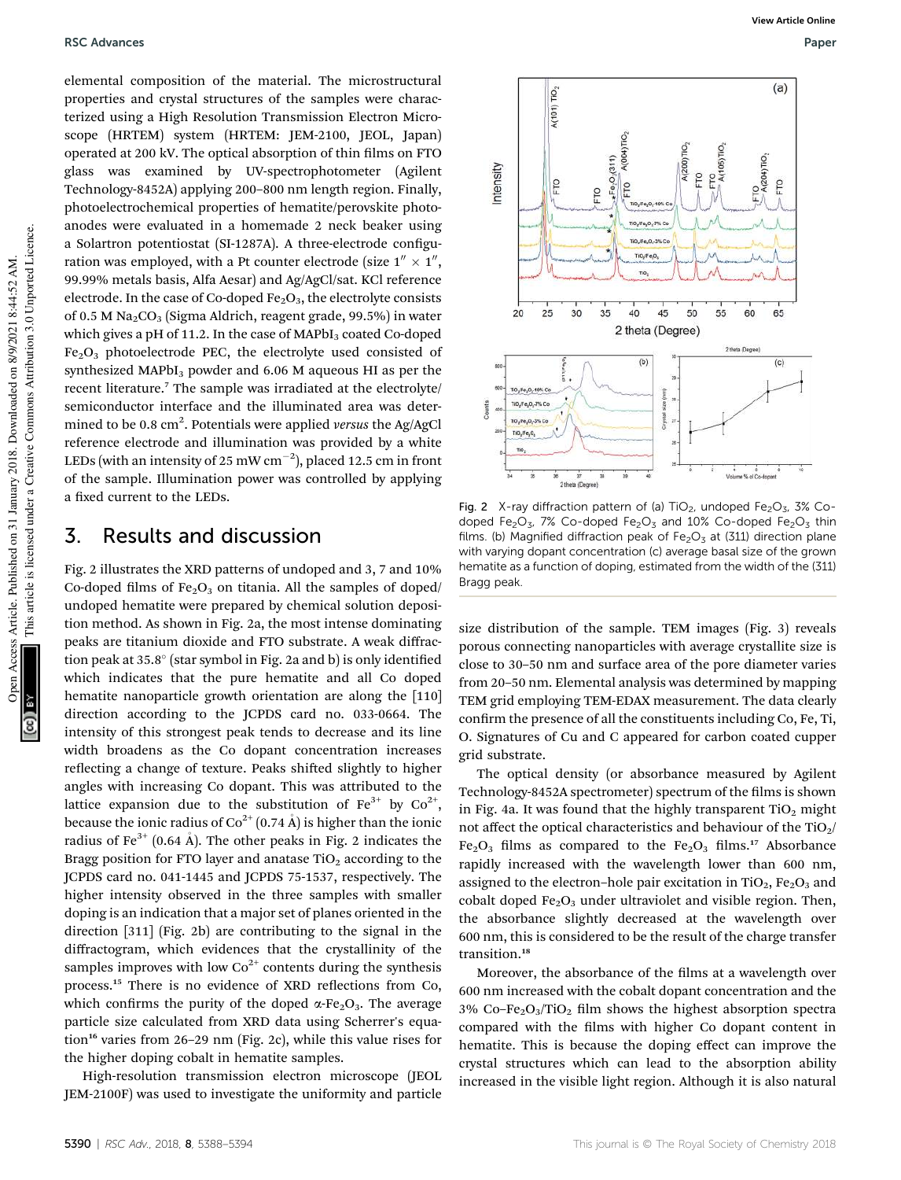elemental composition of the material. The microstructural properties and crystal structures of the samples were characterized using a High Resolution Transmission Electron Microscope (HRTEM) system (HRTEM: JEM-2100, JEOL, Japan) operated at 200 kV. The optical absorption of thin films on FTO glass was examined by UV-spectrophotometer (Agilent Technology-8452A) applying 200–800 nm length region. Finally, photoelectrochemical properties of hematite/perovskite photoanodes were evaluated in a homemade 2 neck beaker using a Solartron potentiostat (SI-1287A). A three-electrode configuration was employed, with a Pt counter electrode (size  $1'' \times 1''$ , 99.99% metals basis, Alfa Aesar) and Ag/AgCl/sat. KCl reference electrode. In the case of Co-doped  $Fe<sub>2</sub>O<sub>3</sub>$ , the electrolyte consists of 0.5 M  $\text{Na}_2\text{CO}_3$  (Sigma Aldrich, reagent grade, 99.5%) in water which gives a pH of 11.2. In the case of  $MAPbI<sub>3</sub>$  coated Co-doped  $Fe<sub>2</sub>O<sub>3</sub>$  photoelectrode PEC, the electrolyte used consisted of synthesized MAPbI<sub>3</sub> powder and  $6.06$  M aqueous HI as per the recent literature.<sup>7</sup> The sample was irradiated at the electrolyte/ semiconductor interface and the illuminated area was determined to be 0.8 cm<sup>2</sup> . Potentials were applied *versus* the Ag/AgCl reference electrode and illumination was provided by a white LEDs (with an intensity of 25 mW  $\rm cm^{-2}$ ), placed 12.5 cm in front of the sample. Illumination power was controlled by applying a fixed current to the LEDs.

### 3. Results and discussion

Fig. 2 illustrates the XRD patterns of undoped and 3, 7 and 10% Co-doped films of  $Fe<sub>2</sub>O<sub>3</sub>$  on titania. All the samples of doped/ undoped hematite were prepared by chemical solution deposition method. As shown in Fig. 2a, the most intense dominating peaks are titanium dioxide and FTO substrate. A weak diffraction peak at 35.8° (star symbol in Fig. 2a and b) is only identified which indicates that the pure hematite and all Co doped hematite nanoparticle growth orientation are along the [110] direction according to the JCPDS card no. 033-0664. The intensity of this strongest peak tends to decrease and its line width broadens as the Co dopant concentration increases reflecting a change of texture. Peaks shifted slightly to higher angles with increasing Co dopant. This was attributed to the lattice expansion due to the substitution of  $Fe^{3+}$  by  $Co^{2+}$ , because the ionic radius of  $Co^{2+}(0.74 \text{ Å})$  is higher than the ionic radius of Fe<sup>3+</sup> (0.64 Å). The other peaks in Fig. 2 indicates the Bragg position for FTO layer and anatase  $TiO<sub>2</sub>$  according to the JCPDS card no. 041-1445 and JCPDS 75-1537, respectively. The higher intensity observed in the three samples with smaller doping is an indication that a major set of planes oriented in the direction [311] (Fig. 2b) are contributing to the signal in the diffractogram, which evidences that the crystallinity of the samples improves with low  $Co^{2+}$  contents during the synthesis process.<sup>15</sup> There is no evidence of XRD reflections from Co, which confirms the purity of the doped  $\alpha$ -Fe<sub>2</sub>O<sub>3</sub>. The average particle size calculated from XRD data using Scherrer's equation<sup>16</sup> varies from 26-29 nm (Fig. 2c), while this value rises for the higher doping cobalt in hematite samples.

High-resolution transmission electron microscope (JEOL JEM-2100F) was used to investigate the uniformity and particle



Fig. 2 X-ray diffraction pattern of (a)  $TiO<sub>2</sub>$ , undoped Fe<sub>2</sub>O<sub>3</sub>, 3% Codoped Fe<sub>2</sub>O<sub>3</sub>, 7% Co-doped Fe<sub>2</sub>O<sub>3</sub> and 10% Co-doped Fe<sub>2</sub>O<sub>3</sub> thin films. (b) Magnified diffraction peak of  $Fe<sub>2</sub>O<sub>3</sub>$  at (311) direction plane with varying dopant concentration (c) average basal size of the grown hematite as a function of doping, estimated from the width of the (311) Bragg peak.

size distribution of the sample. TEM images (Fig. 3) reveals porous connecting nanoparticles with average crystallite size is close to 30–50 nm and surface area of the pore diameter varies from 20–50 nm. Elemental analysis was determined by mapping TEM grid employing TEM-EDAX measurement. The data clearly confirm the presence of all the constituents including Co, Fe, Ti, O. Signatures of Cu and C appeared for carbon coated cupper grid substrate.

The optical density (or absorbance measured by Agilent Technology-8452A spectrometer) spectrum of the films is shown in Fig. 4a. It was found that the highly transparent  $TiO<sub>2</sub>$  might not affect the optical characteristics and behaviour of the  $TiO<sub>2</sub>/$  $Fe<sub>2</sub>O<sub>3</sub>$  films as compared to the  $Fe<sub>2</sub>O<sub>3</sub>$  films.<sup>17</sup> Absorbance rapidly increased with the wavelength lower than 600 nm, assigned to the electron-hole pair excitation in TiO<sub>2</sub>, Fe<sub>2</sub>O<sub>3</sub> and cobalt doped  $Fe<sub>2</sub>O<sub>3</sub>$  under ultraviolet and visible region. Then, the absorbance slightly decreased at the wavelength over 600 nm, this is considered to be the result of the charge transfer transition.<sup>18</sup>

Moreover, the absorbance of the films at a wavelength over 600 nm increased with the cobalt dopant concentration and the 3% Co–Fe<sub>2</sub>O<sub>3</sub>/TiO<sub>2</sub> film shows the highest absorption spectra compared with the films with higher Co dopant content in hematite. This is because the doping effect can improve the crystal structures which can lead to the absorption ability increased in the visible light region. Although it is also natural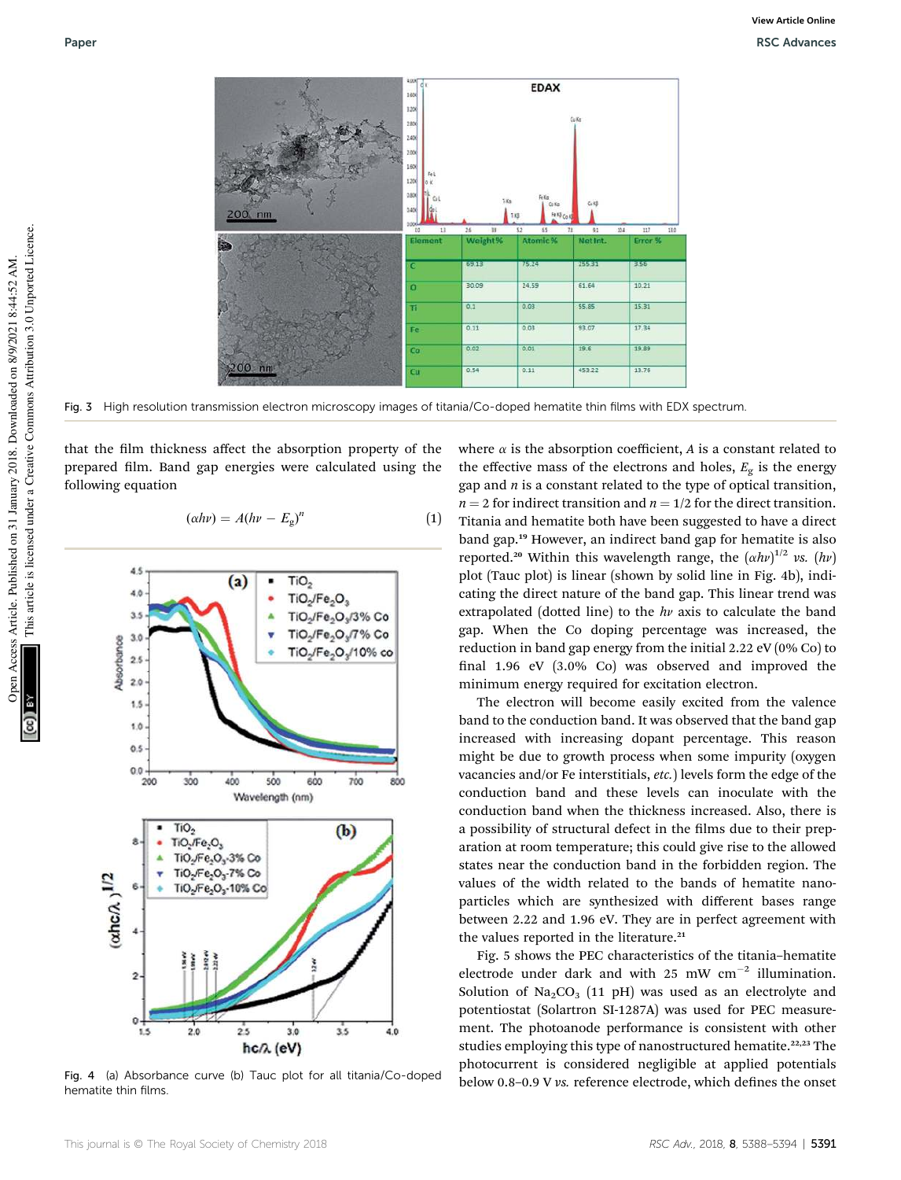

Fig. 3 High resolution transmission electron microscopy images of titania/Co-doped hematite thin films with EDX spectrum

that the film thickness affect the absorption property of the prepared film. Band gap energies were calculated using the following equation

$$
(\alpha h\nu) = A(h\nu - E_g)^n \tag{1}
$$



hematite thin films.

where  $\alpha$  is the absorption coefficient,  $A$  is a constant related to the effective mass of the electrons and holes,  $E_g$  is the energy gap and *n* is a constant related to the type of optical transition,  $n = 2$  for indirect transition and  $n = 1/2$  for the direct transition. Titania and hematite both have been suggested to have a direct band gap.<sup>19</sup> However, an indirect band gap for hematite is also reported.<sup>20</sup> Within this wavelength range, the  $(\alpha h\nu)^{1/2}$  *vs.*  $(h\nu)$ plot (Tauc plot) is linear (shown by solid line in Fig. 4b), indicating the direct nature of the band gap. This linear trend was extrapolated (dotted line) to the  $hv$  axis to calculate the band gap. When the Co doping percentage was increased, the reduction in band gap energy from the initial 2.22 eV (0% Co) to final  $1.96$  eV  $(3.0\%$  Co) was observed and improved the minimum energy required for excitation electron.

The electron will become easily excited from the valence band to the conduction band. It was observed that the band gap increased with increasing dopant percentage. This reason might be due to growth process when some impurity (oxygen vacancies and/or Fe interstitials, *etc.*) levels form the edge of the conduction band and these levels can inoculate with the conduction band when the thickness increased. Also, there is a possibility of structural defect in the films due to their preparation at room temperature; this could give rise to the allowed states near the conduction band in the forbidden region. The values of the width related to the bands of hematite nanoparticles which are synthesized with different bases range between 2.22 and 1.96 eV. They are in perfect agreement with the values reported in the literature.<sup>21</sup>

Fig. 5 shows the PEC characteristics of the titania–hematite electrode under dark and with 25 mW  $cm^{-2}$  illumination. Solution of  $\text{Na}_2\text{CO}_3$  (11 pH) was used as an electrolyte and potentiostat (Solartron SI-1287A) was used for PEC measurement. The photoanode performance is consistent with other studies employing this type of nanostructured hematite.<sup>22,23</sup> The photocurrent is considered negligible at applied potentials Fig. 4 (a) Absorbance curve (b) Tauc plot for all titania/Co-doped<br>below 0.8–0.9 V vs. reference electrode, which defines the onset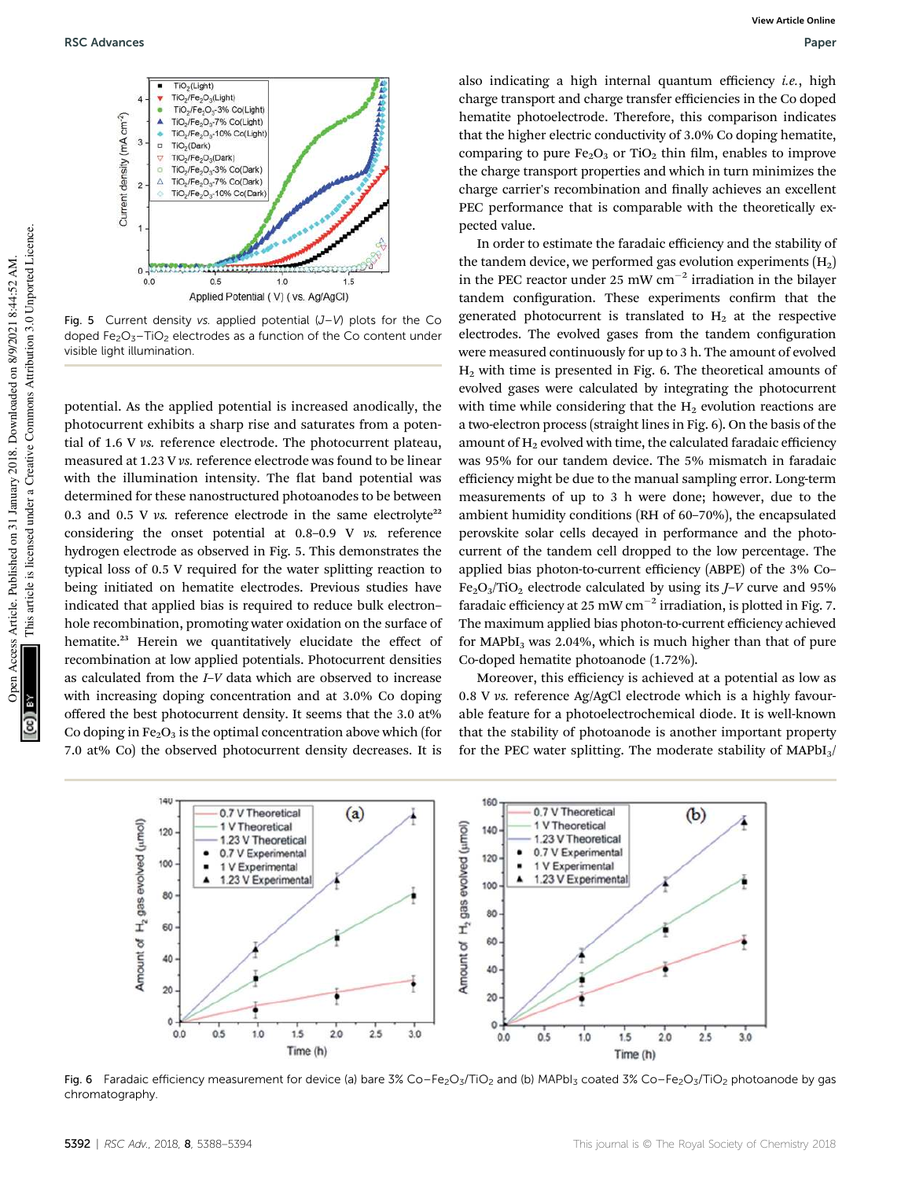

Fig. 5 Current density vs. applied potential  $(J-V)$  plots for the Co doped  $Fe<sub>2</sub>O<sub>3</sub>$ -TiO<sub>2</sub> electrodes as a function of the Co content under visible light illumination.

potential. As the applied potential is increased anodically, the photocurrent exhibits a sharp rise and saturates from a potential of 1.6 V *vs.* reference electrode. The photocurrent plateau, measured at 1.23 V *vs.* reference electrode was found to be linear with the illumination intensity. The flat band potential was determined for these nanostructured photoanodes to be between 0.3 and 0.5 V  $\nu$ s. reference electrode in the same electrolyte<sup>22</sup> considering the onset potential at 0.8–0.9 V *vs.* reference hydrogen electrode as observed in Fig. 5. This demonstrates the typical loss of 0.5 V required for the water splitting reaction to being initiated on hematite electrodes. Previous studies have indicated that applied bias is required to reduce bulk electron– hole recombination, promoting water oxidation on the surface of hematite.<sup>23</sup> Herein we quantitatively elucidate the effect of recombination at low applied potentials. Photocurrent densities as calculated from the *I*–*V* data which are observed to increase with increasing doping concentration and at 3.0% Co doping offered the best photocurrent density. It seems that the 3.0 at% Co doping in  $Fe<sub>2</sub>O<sub>3</sub>$  is the optimal concentration above which (for 7.0 at% Co) the observed photocurrent density decreases. It is

also indicating a high internal quantum efficiency *i.e.*, high charge transport and charge transfer efficiencies in the Co doped hematite photoelectrode. Therefore, this comparison indicates that the higher electric conductivity of 3.0% Co doping hematite, comparing to pure  $Fe<sub>2</sub>O<sub>3</sub>$  or TiO<sub>2</sub> thin film, enables to improve the charge transport properties and which in turn minimizes the charge carrier's recombination and finally achieves an excellent PEC performance that is comparable with the theoretically expected value.

In order to estimate the faradaic efficiency and the stability of the tandem device, we performed gas evolution experiments  $(H<sub>2</sub>)$ in the PEC reactor under 25 mW  $cm^{-2}$  irradiation in the bilayer tandem configuration. These experiments confirm that the generated photocurrent is translated to  $H<sub>2</sub>$  at the respective electrodes. The evolved gases from the tandem configuration were measured continuously for up to 3 h. The amount of evolved  $H<sub>2</sub>$  with time is presented in Fig. 6. The theoretical amounts of evolved gases were calculated by integrating the photocurrent with time while considering that the  $H_2$  evolution reactions are a two-electron process (straight lines in Fig. 6). On the basis of the amount of  $H_2$  evolved with time, the calculated faradaic efficiency was 95% for our tandem device. The 5% mismatch in faradaic efficiency might be due to the manual sampling error. Long-term measurements of up to 3 h were done; however, due to the ambient humidity conditions (RH of 60–70%), the encapsulated perovskite solar cells decayed in performance and the photocurrent of the tandem cell dropped to the low percentage. The applied bias photon-to-current efficiency (ABPE) of the 3% Co– Fe2O3/TiO<sup>2</sup> electrode calculated by using its *J*–*V* curve and 95% faradaic efficiency at 25 mW cm<sup>-2</sup> irradiation, is plotted in Fig. 7. The maximum applied bias photon-to-current efficiency achieved for MAP $bI<sub>3</sub>$  was 2.04%, which is much higher than that of pure Co-doped hematite photoanode (1.72%).

Moreover, this efficiency is achieved at a potential as low as 0.8 V *vs.* reference Ag/AgCl electrode which is a highly favourable feature for a photoelectrochemical diode. It is well-known that the stability of photoanode is another important property for the PEC water splitting. The moderate stability of  $MAPbI<sub>3</sub>$ 



Fig. 6 Faradaic efficiency measurement for device (a) bare 3% Co–Fe<sub>2</sub>O<sub>3</sub>/TiO<sub>2</sub> and (b) MAPbI<sub>3</sub> coated 3% Co–Fe<sub>2</sub>O<sub>3</sub>/TiO<sub>2</sub> photoanode by gas chromatography.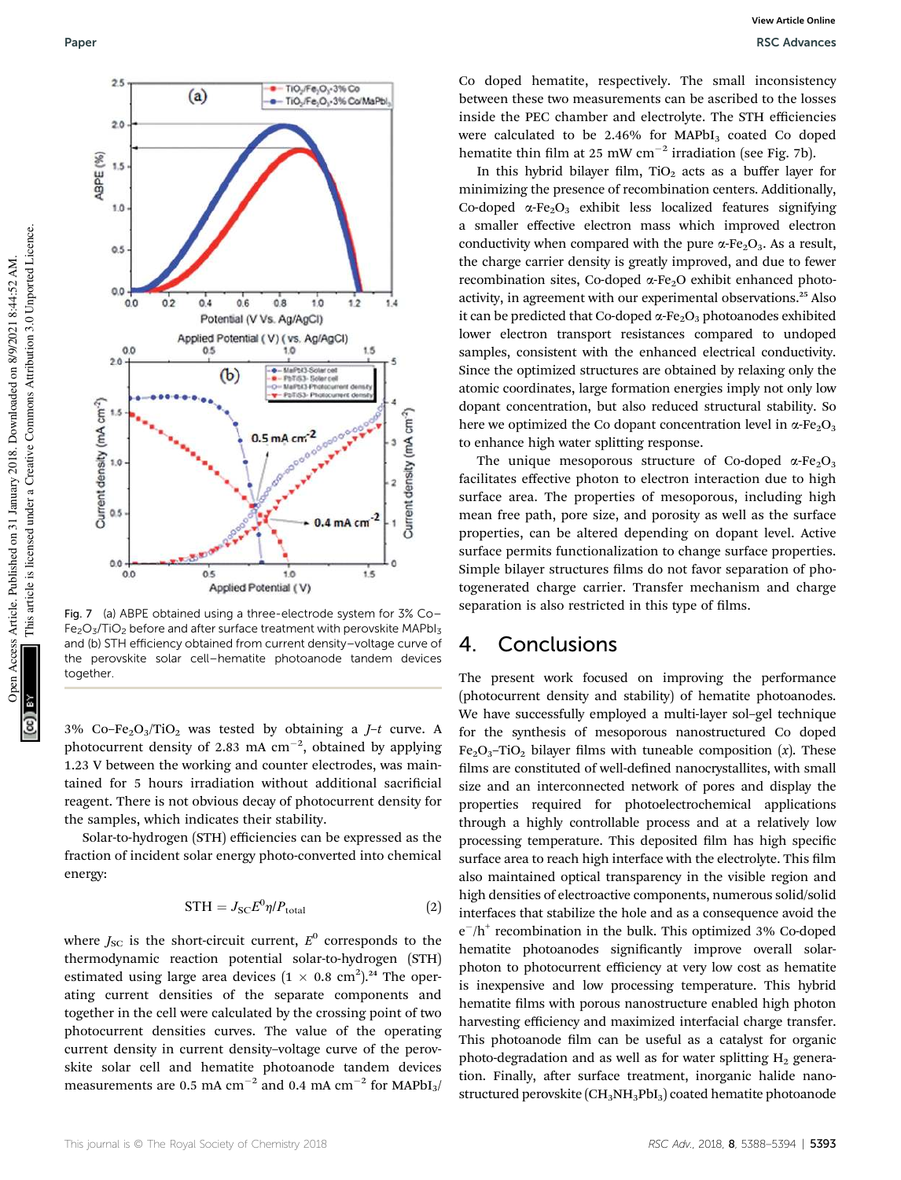

Fig. 7 (a) ABPE obtained using a three-electrode system for 3% Co– Fe<sub>2</sub>O<sub>3</sub>/TiO<sub>2</sub> before and after surface treatment with perovskite MAPbI<sub>3</sub> and (b) STH efficiency obtained from current density–voltage curve of the perovskite solar cell–hematite photoanode tandem devices together.

3% Co–Fe2O3/TiO<sup>2</sup> was tested by obtaining a *J*–*t* curve. A photocurrent density of 2.83 mA  $cm^{-2}$ , obtained by applying 1.23 V between the working and counter electrodes, was maintained for 5 hours irradiation without additional sacrificial reagent. There is not obvious decay of photocurrent density for the samples, which indicates their stability.

Solar-to-hydrogen (STH) efficiencies can be expressed as the fraction of incident solar energy photo-converted into chemical energy:

$$
STH = J_{SC} E^0 \eta / P_{\text{total}} \tag{2}
$$

where  $J_{\rm SC}$  is the short-circuit current,  $E^0$  corresponds to the thermodynamic reaction potential solar-to-hydrogen (STH) estimated using large area devices  $(1 \times 0.8 \text{ cm}^2)$ .<sup>24</sup> The operating current densities of the separate components and together in the cell were calculated by the crossing point of two photocurrent densities curves. The value of the operating current density in current density–voltage curve of the perovskite solar cell and hematite photoanode tandem devices measurements are 0.5 mA  $cm^{-2}$  and 0.4 mA  $cm^{-2}$  for MAPbI<sub>3</sub>/ Co doped hematite, respectively. The small inconsistency between these two measurements can be ascribed to the losses inside the PEC chamber and electrolyte. The STH efficiencies were calculated to be  $2.46\%$  for MAPbI<sub>3</sub> coated Co doped hematite thin film at 25 mW  $cm^{-2}$  irradiation (see Fig. 7b).

In this hybrid bilayer film,  $TiO<sub>2</sub>$  acts as a buffer layer for minimizing the presence of recombination centers. Additionally, Co-doped  $\alpha$ -Fe<sub>2</sub>O<sub>3</sub> exhibit less localized features signifying a smaller effective electron mass which improved electron conductivity when compared with the pure  $\alpha$ -Fe<sub>2</sub>O<sub>3</sub>. As a result, the charge carrier density is greatly improved, and due to fewer recombination sites, Co-doped  $\alpha$ -Fe<sub>2</sub>O exhibit enhanced photoactivity, in agreement with our experimental observations.<sup>25</sup> Also it can be predicted that Co-doped  $\alpha$ -Fe<sub>2</sub>O<sub>3</sub> photoanodes exhibited lower electron transport resistances compared to undoped samples, consistent with the enhanced electrical conductivity. Since the optimized structures are obtained by relaxing only the atomic coordinates, large formation energies imply not only low dopant concentration, but also reduced structural stability. So here we optimized the Co dopant concentration level in  $\alpha$ -Fe<sub>2</sub>O<sub>3</sub> to enhance high water splitting response.

The unique mesoporous structure of Co-doped  $\alpha$ -Fe<sub>2</sub>O<sub>3</sub> facilitates effective photon to electron interaction due to high surface area. The properties of mesoporous, including high mean free path, pore size, and porosity as well as the surface properties, can be altered depending on dopant level. Active surface permits functionalization to change surface properties. Simple bilayer structures films do not favor separation of photogenerated charge carrier. Transfer mechanism and charge separation is also restricted in this type of films.

## 4. Conclusions

The present work focused on improving the performance (photocurrent density and stability) of hematite photoanodes. We have successfully employed a multi-layer sol–gel technique for the synthesis of mesoporous nanostructured Co doped  $Fe<sub>2</sub>O<sub>3</sub>$ -TiO<sub>2</sub> bilayer films with tuneable composition (*x*). These films are constituted of well-defined nanocrystallites, with small size and an interconnected network of pores and display the properties required for photoelectrochemical applications through a highly controllable process and at a relatively low processing temperature. This deposited film has high specific surface area to reach high interface with the electrolyte. This film also maintained optical transparency in the visible region and high densities of electroactive components, numerous solid/solid interfaces that stabilize the hole and as a consequence avoid the e<sup>-</sup>/h<sup>+</sup> recombination in the bulk. This optimized 3% Co-doped hematite photoanodes significantly improve overall solarphoton to photocurrent efficiency at very low cost as hematite is inexpensive and low processing temperature. This hybrid hematite films with porous nanostructure enabled high photon harvesting efficiency and maximized interfacial charge transfer. This photoanode film can be useful as a catalyst for organic photo-degradation and as well as for water splitting  $H<sub>2</sub>$  generation. Finally, after surface treatment, inorganic halide nanostructured perovskite  $(CH_3NH_3PbI_3)$  coated hematite photoanode